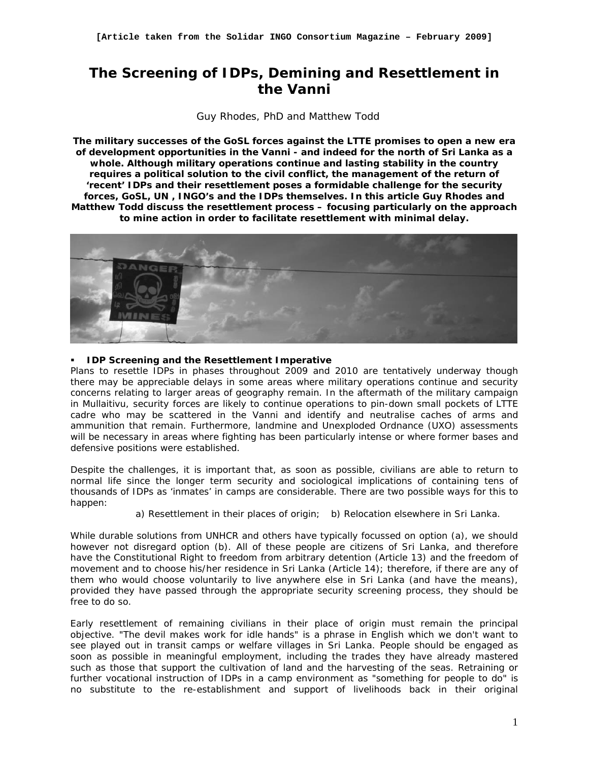# **The Screening of IDPs, Demining and Resettlement in the Vanni**

*Guy Rhodes, PhD and Matthew Todd* 

*The military successes of the GoSL forces against the LTTE promises to open a new era of development opportunities in the Vanni - and indeed for the north of Sri Lanka as a whole. Although military operations continue and lasting stability in the country*  requires a political solution to the civil conflict, the management of the return of *'recent' IDPs and their resettlement poses a formidable challenge for the security forces, GoSL, UN , INGO's and the IDPs themselves. In this article Guy Rhodes and Matthew Todd discuss the resettlement process – focusing particularly on the approach to mine action in order to facilitate resettlement with minimal delay.* 



# *IDP Screening and the Resettlement Imperative*

Plans to resettle IDPs in phases throughout 2009 and 2010 are tentatively underway though there may be appreciable delays in some areas where military operations continue and security concerns relating to larger areas of geography remain. In the aftermath of the military campaign in Mullaitivu, security forces are likely to continue operations to pin-down small pockets of LTTE cadre who may be scattered in the Vanni and identify and neutralise caches of arms and ammunition that remain. Furthermore, landmine and Unexploded Ordnance (UXO) assessments will be necessary in areas where fighting has been particularly intense or where former bases and defensive positions were established.

Despite the challenges, it is important that, as soon as possible, civilians are able to return to normal life since the longer term security and sociological implications of containing tens of thousands of IDPs as 'inmates' in camps are considerable. There are two possible ways for this to happen:

a) Resettlement in their places of origin; b) Relocation elsewhere in Sri Lanka.

While durable solutions from UNHCR and others have typically focussed on option (a), we should however not disregard option (b). All of these people are citizens of Sri Lanka, and therefore have the Constitutional Right to freedom from arbitrary detention (Article 13) and the freedom of movement and to choose his/her residence in Sri Lanka (Article 14); therefore, if there are any of them who would choose voluntarily to live anywhere else in Sri Lanka (and have the means), provided they have passed through the appropriate security screening process, they should be free to do so.

Early resettlement of remaining civilians in their place of origin must remain the principal objective. "The devil makes work for idle hands" is a phrase in English which we don't want to see played out in transit camps or welfare villages in Sri Lanka. People should be engaged as soon as possible in meaningful employment, including the trades they have already mastered such as those that support the cultivation of land and the harvesting of the seas. Retraining or further vocational instruction of IDPs in a camp environment as "something for people to do" is no substitute to the re-establishment and support of livelihoods back in their original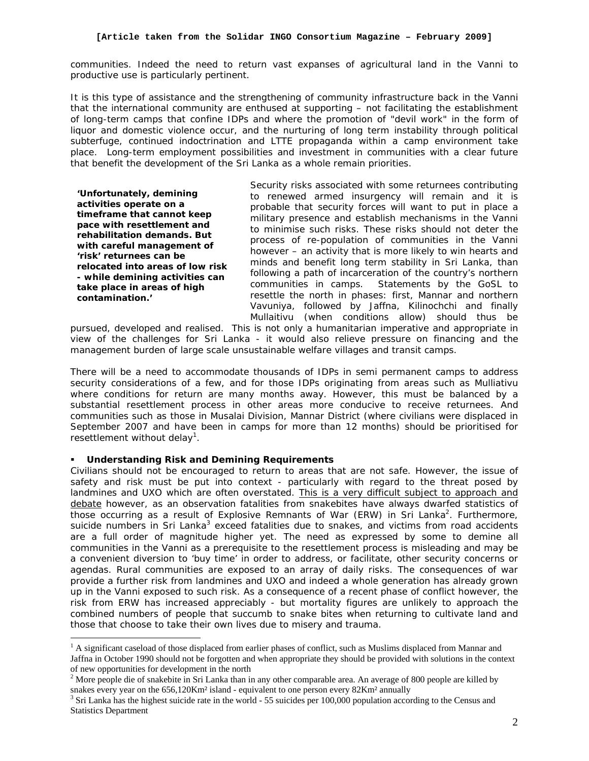communities. Indeed the need to return vast expanses of agricultural land in the Vanni to productive use is particularly pertinent.

It is this type of assistance and the strengthening of community infrastructure back in the Vanni that the international community are enthused at supporting – not facilitating the establishment of long-term camps that confine IDPs and where the promotion of "devil work" in the form of liquor and domestic violence occur, and the nurturing of long term instability through political subterfuge, continued indoctrination and LTTE propaganda within a camp environment take place. Long-term employment possibilities and investment in communities with a clear future that benefit the development of the Sri Lanka as a whole remain priorities.

**'Unfortunately, demining activities operate on a timeframe that cannot keep pace with resettlement and rehabilitation demands. But with careful management of 'risk' returnees can be relocated into areas of low risk - while demining activities can take place in areas of high contamination.'** 

l

Security risks associated with some returnees contributing to renewed armed insurgency will remain and it is probable that security forces will want to put in place a military presence and establish mechanisms in the Vanni to minimise such risks. These risks should not deter the process of re-population of communities in the Vanni however – an activity that is more likely to win hearts and minds and benefit long term stability in Sri Lanka, than following a path of incarceration of the country's northern communities in camps. Statements by the GoSL to resettle the north in phases: first, Mannar and northern Vavuniya, followed by Jaffna, Kilinochchi and finally Mullaitivu (when conditions allow) should thus be

pursued, developed and realised. This is not only a humanitarian imperative and appropriate in view of the challenges for Sri Lanka - it would also relieve pressure on financing and the management burden of large scale unsustainable welfare villages and transit camps.

There will be a need to accommodate thousands of IDPs in semi permanent camps to address security considerations of a few, and for those IDPs originating from areas such as Mulliativu where conditions for return are many months away. However, this must be balanced by a substantial resettlement process in other areas more conducive to receive returnees. And communities such as those in Musalai Division, Mannar District (where civilians were displaced in September 2007 and have been in camps for more than 12 months) should be prioritised for resettlement without delay<sup>1</sup>.

## *Understanding Risk and Demining Requirements*

Civilians should not be encouraged to return to areas that are not safe. However, the issue of safety and risk must be put into context - particularly with regard to the threat posed by landmines and UXO which are often overstated. This is a very difficult subject to approach and debate however, as an observation fatalities from snakebites have always dwarfed statistics of those occurring as a result of Explosive Remnants of War (ERW) in Sri Lanka<sup>2</sup>. Furthermore, suicide numbers in Sri Lanka<sup>3</sup> exceed fatalities due to snakes, and victims from road accidents are a full order of magnitude higher yet. The need as expressed by some to demine all communities in the Vanni as a prerequisite to the resettlement process is misleading and may be a convenient diversion to 'buy time' in order to address, or facilitate, other security concerns or agendas. Rural communities are exposed to an array of daily risks. The consequences of war provide a further risk from landmines and UXO and indeed a whole generation has already grown up in the Vanni exposed to such risk. As a consequence of a recent phase of conflict however, the risk from ERW has increased appreciably - but mortality figures are unlikely to approach the combined numbers of people that succumb to snake bites when returning to cultivate land and those that choose to take their own lives due to misery and trauma.

<sup>&</sup>lt;sup>1</sup> A significant caseload of those displaced from earlier phases of conflict, such as Muslims displaced from Mannar and Jaffna in October 1990 should not be forgotten and when appropriate they should be provided with solutions in the context of new opportunities for development in the north

<sup>&</sup>lt;sup>2</sup> More people die of snakebite in Sri Lanka than in any other comparable area. An average of 800 people are killed by snakes every year on the  $656,120$ Km<sup>2</sup> island - equivalent to one person every  $82$ Km<sup>2</sup> annually

<sup>3</sup> Sri Lanka has the highest suicide rate in the world - 55 suicides per 100,000 population according to the Census and Statistics Department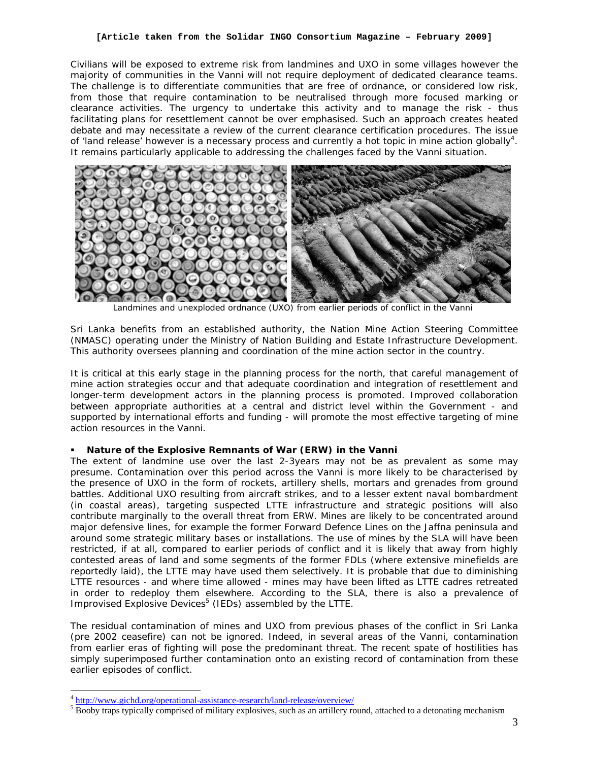#### **[Article taken from the Solidar INGO Consortium Magazine – February 2009]**

Civilians will be exposed to extreme risk from landmines and UXO in some villages however the majority of communities in the Vanni will not require deployment of dedicated clearance teams. The challenge is to differentiate communities that are free of ordnance, or considered low risk, from those that require contamination to be neutralised through more focused marking or clearance activities. The urgency to undertake this activity and to manage the risk - thus facilitating plans for resettlement cannot be over emphasised. Such an approach creates heated debate and may necessitate a review of the current clearance certification procedures. The issue of 'land release' however is a necessary process and currently a hot topic in mine action globally<sup>4</sup>. It remains particularly applicable to addressing the challenges faced by the Vanni situation.



Landmines and unexploded ordnance (UXO) from earlier periods of conflict in the Vanni

Sri Lanka benefits from an established authority, the Nation Mine Action Steering Committee (NMASC) operating under the Ministry of Nation Building and Estate Infrastructure Development. This authority oversees planning and coordination of the mine action sector in the country.

It is critical at this early stage in the planning process for the north, that careful management of mine action strategies occur and that adequate coordination and integration of resettlement and longer-term development actors in the planning process is promoted. Improved collaboration between appropriate authorities at a central and district level within the Government - and supported by international efforts and funding - will promote the most effective targeting of mine action resources in the Vanni.

## *Nature of the Explosive Remnants of War (ERW) in the Vanni*

The extent of landmine use over the last 2-3years may not be as prevalent as some may presume. Contamination over this period across the Vanni is more likely to be characterised by the presence of UXO in the form of rockets, artillery shells, mortars and grenades from ground battles. Additional UXO resulting from aircraft strikes, and to a lesser extent naval bombardment (in coastal areas), targeting suspected LTTE infrastructure and strategic positions will also contribute marginally to the overall threat from ERW. Mines are likely to be concentrated around major defensive lines, for example the former Forward Defence Lines on the Jaffna peninsula and around some strategic military bases or installations. The use of mines by the SLA will have been restricted, if at all, compared to earlier periods of conflict and it is likely that away from highly contested areas of land and some segments of the former FDLs (where extensive minefields are reportedly laid), the LTTE may have used them selectively. It is probable that due to diminishing LTTE resources - and where time allowed - mines may have been lifted as LTTE cadres retreated in order to redeploy them elsewhere. According to the SLA, there is also a prevalence of Improvised Explosive Devices<sup>5</sup> (IEDs) assembled by the LTTE.

The residual contamination of mines and UXO from previous phases of the conflict in Sri Lanka (pre 2002 ceasefire) can not be ignored. Indeed, in several areas of the Vanni, contamination from earlier eras of fighting will pose the predominant threat. The recent spate of hostilities has simply superimposed further contamination onto an existing record of contamination from these earlier episodes of conflict.

 $\overline{a}$ 

<sup>4</sup> http://www.gichd.org/operational-assistance-research/land-release/overview/

 $<sup>5</sup>$  Booby traps typically comprised of military explosives, such as an artillery round, attached to a detonating mechanism</sup>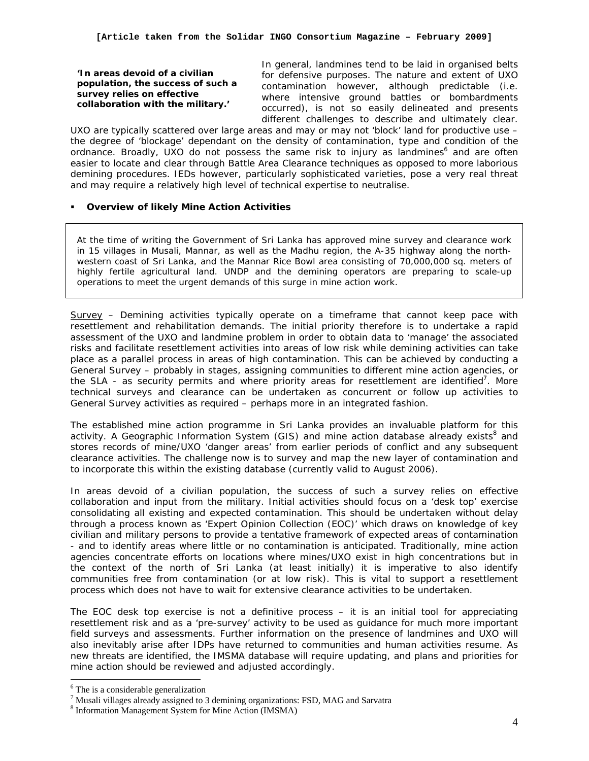**'In areas devoid of a civilian population, the success of such a survey relies on effective collaboration with the military.'** 

In general, landmines tend to be laid in organised belts for defensive purposes. The nature and extent of UXO contamination however, although predictable (i.e. where intensive ground battles or bombardments occurred), is not so easily delineated and presents different challenges to describe and ultimately clear.

UXO are typically scattered over large areas and may or may not 'block' land for productive use – the degree of 'blockage' dependant on the density of contamination, type and condition of the ordnance. Broadly, UXO do not possess the same risk to injury as landmines<sup>6</sup> and are often easier to locate and clear through Battle Area Clearance techniques as opposed to more laborious demining procedures. IEDs however, particularly sophisticated varieties, pose a very real threat and may require a relatively high level of technical expertise to neutralise.

# *Overview of likely Mine Action Activities*

At the time of writing the Government of Sri Lanka has approved mine survey and clearance work in 15 villages in Musali, Mannar, as well as the Madhu region, the A-35 highway along the northwestern coast of Sri Lanka, and the Mannar Rice Bowl area consisting of 70,000,000 sq. meters of highly fertile agricultural land. UNDP and the demining operators are preparing to scale-up operations to meet the urgent demands of this surge in mine action work.

*Survey* – Demining activities typically operate on a timeframe that cannot keep pace with resettlement and rehabilitation demands. The initial priority therefore is to undertake a rapid assessment of the UXO and landmine problem in order to obtain data to 'manage' the associated risks and facilitate resettlement activities into areas of low risk while demining activities can take place as a parallel process in areas of high contamination. This can be achieved by conducting a *General Survey* – probably in stages, assigning communities to different mine action agencies, or the SLA - as security permits and where priority areas for resettlement are identified<sup>7</sup>. More technical surveys and clearance can be undertaken as concurrent or follow up activities to General Survey activities as required – perhaps more in an integrated fashion.

The established mine action programme in Sri Lanka provides an invaluable platform for this activity. A Geographic Information System (GIS) and mine action database already exists<sup>8</sup> and stores records of mine/UXO 'danger areas' from earlier periods of conflict and any subsequent clearance activities. The challenge now is to survey and map the new layer of contamination and to incorporate this within the existing database (currently valid to August 2006).

In areas devoid of a civilian population, the success of such a survey relies on effective collaboration and input from the military. Initial activities should focus on a 'desk top' exercise consolidating all existing and expected contamination. This should be undertaken without delay through a process known as 'Expert Opinion Collection (EOC)' which draws on knowledge of key civilian and military persons to provide a tentative framework of expected areas of contamination - and to identify areas where little or no contamination is anticipated. Traditionally, mine action agencies concentrate efforts on locations where mines/UXO exist in high concentrations but in the context of the north of Sri Lanka (at least initially) it is imperative to also identify communities free from contamination (or at low risk). This is vital to support a resettlement process which does not have to wait for extensive clearance activities to be undertaken.

The EOC desk top exercise is not a definitive process – it is an initial tool for appreciating resettlement risk and as a 'pre-survey' activity to be used as guidance for much more important field surveys and assessments. Further information on the presence of landmines and UXO will also inevitably arise after IDPs have returned to communities and human activities resume. As new threats are identified, the IMSMA database will require updating, and plans and priorities for mine action should be reviewed and adjusted accordingly.

 $\overline{a}$ 

<sup>6</sup> The is a considerable generalization

<sup>&</sup>lt;sup>7</sup> Musali villages already assigned to 3 demining organizations: FSD, MAG and Sarvatra

<sup>8</sup> Information Management System for Mine Action (IMSMA)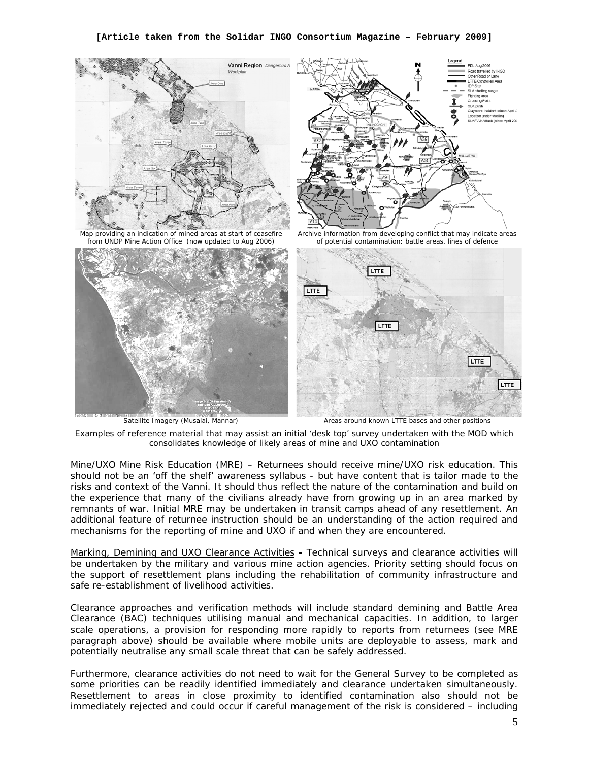

*Examples of reference material that may assist an initial 'desk top' survey undertaken with the MOD which* 

Mine/UXO Mine Risk Education (MRE) – Returnees should receive mine/UXO risk education. This should not be an 'off the shelf' awareness syllabus - but have content that is tailor made to the risks and context of the Vanni. It should thus reflect the nature of the contamination and build on the experience that many of the civilians already have from growing up in an area marked by remnants of war. Initial MRE may be undertaken in transit camps ahead of any resettlement. An additional feature of returnee instruction should be an understanding of the action required and mechanisms for the reporting of mine and UXO if and when they are encountered.

*consolidates knowledge of likely areas of mine and UXO contamination* 

Marking, Demining and UXO Clearance Activities **-** Technical surveys and clearance activities will be undertaken by the military and various mine action agencies. Priority setting should focus on the support of resettlement plans including the rehabilitation of community infrastructure and safe re-establishment of livelihood activities.

Clearance approaches and verification methods will include standard demining and Battle Area Clearance (BAC) techniques utilising manual and mechanical capacities. In addition, to larger scale operations, a provision for responding more rapidly to reports from returnees (see MRE paragraph above) should be available where mobile units are deployable to assess, mark and potentially neutralise any small scale threat that can be safely addressed.

Furthermore, clearance activities do not need to wait for the General Survey to be completed as some priorities can be readily identified immediately and clearance undertaken simultaneously. Resettlement to areas in close proximity to identified contamination also should not be immediately rejected and could occur if careful management of the risk is considered – including